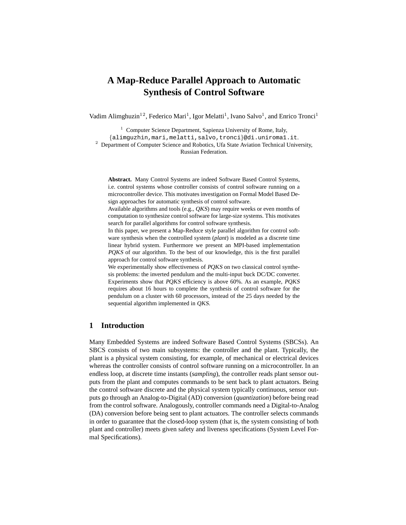# **A Map-Reduce Parallel Approach to Automatic Synthesis of Control Software**

Vadim Alimghuzin<sup>12</sup>, Federico Mari<sup>1</sup>, Igor Melatti<sup>1</sup>, Ivano Salvo<sup>1</sup>, and Enrico Tronci<sup>1</sup>

<sup>1</sup> Computer Science Department, Sapienza University of Rome, Italy, {alimguzhin,mari,melatti,salvo,tronci}@di.uniroma1.it. <sup>2</sup> Department of Computer Science and Robotics, Ufa State Aviation Technical University, Russian Federation.

**Abstract.** Many Control Systems are indeed Software Based Control Systems, i.e. control systems whose controller consists of control software running on a microcontroller device. This motivates investigation on Formal Model Based Design approaches for automatic synthesis of control software.

Available algorithms and tools (e.g., QKS) may require weeks or even months of computation to synthesize control software for large-size systems. This motivates search for parallel algorithms for control software synthesis.

In this paper, we present a Map-Reduce style parallel algorithm for control software synthesis when the controlled system (*plant*) is modeled as a discrete time linear hybrid system. Furthermore we present an MPI-based implementation PQKS of our algorithm. To the best of our knowledge, this is the first parallel approach for control software synthesis.

We experimentally show effectiveness of *PQKS* on two classical control synthesis problems: the inverted pendulum and the multi-input buck DC/DC converter. Experiments show that PQKS efficiency is above 60%. As an example, PQKS requires about 16 hours to complete the synthesis of control software for the pendulum on a cluster with 60 processors, instead of the 25 days needed by the sequential algorithm implemented in QKS.

# **1 Introduction**

Many Embedded Systems are indeed Software Based Control Systems (SBCSs). An SBCS consists of two main subsystems: the controller and the plant. Typically, the plant is a physical system consisting, for example, of mechanical or electrical devices whereas the controller consists of control software running on a microcontroller. In an endless loop, at discrete time instants (*sampling*), the controller reads plant sensor outputs from the plant and computes commands to be sent back to plant actuators. Being the control software discrete and the physical system typically continuous, sensor outputs go through an Analog-to-Digital (AD) conversion (*quantization*) before being read from the control software. Analogously, controller commands need a Digital-to-Analog (DA) conversion before being sent to plant actuators. The controller selects commands in order to guarantee that the closed-loop system (that is, the system consisting of both plant and controller) meets given safety and liveness specifications (System Level Formal Specifications).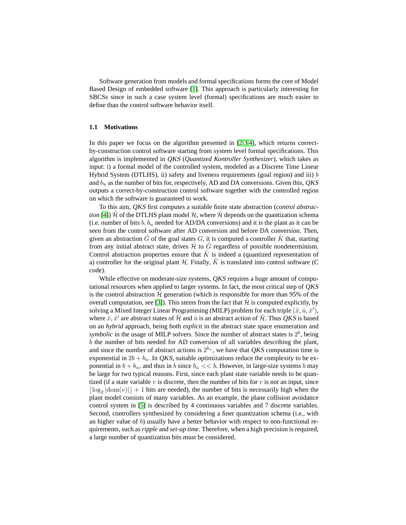Software generation from models and formal specifications forms the core of Model Based Design of embedded software [\[1\]](#page-16-0). This approach is particularly interesting for SBCSs since in such a case system level (formal) specifications are much easier to define than the control software behavior itself.

# <span id="page-1-0"></span>**1.1 Motivations**

In this paper we focus on the algorithm presented in [\[2,](#page-16-1)[3,](#page-16-2)[4\]](#page-16-3), which returns correctby-construction control software starting from system level formal specifications. This algorithm is implemented in QKS (*Quantized Kontroller Synthesizer*), which takes as input: i) a formal model of the controlled system, modeled as a Discrete Time Linear Hybrid System (DTLHS), ii) safety and liveness requirements (goal region) and iii)  $b$ and  $b_u$  as the number of bits for, respectively, AD and DA conversions. Given this, QKS outputs a correct-by-construction control software together with the controlled region on which the software is guaranteed to work.

To this aim, QKS first computes a suitable finite state abstraction (*control abstraction* [\[4\]](#page-16-3)) H of the DTLHS plant model H, where H depends on the quantization schema (i.e. number of bits  $b, b_u$  needed for AD/DA conversions) and it is the plant as it can be seen from the control software after AD conversion and before DA conversion. Then, given an abstraction  $\hat{G}$  of the goal states  $G$ , it is computed a controller  $\hat{K}$  that, starting from any initial abstract state, drives  $H$  to G regardless of possible nondeterminism. Control abstraction properties ensure that  $\hat{K}$  is indeed a (quantized representation of a) controller for the original plant  $H$ . Finally,  $\hat{K}$  is translated into control software (C code).

While effective on moderate-size systems, QKS requires a huge amount of computational resources when applied to larger systems. In fact, the most critical step of QKS is the control abstraction  $\hat{\mathcal{H}}$  generation (which is responsible for more than 95% of the overall computation, see [\[3\]](#page-16-2)). This stems from the fact that  $\mathcal{H}$  is computed explicitly, by solving a Mixed Integer Linear Programming (MILP) problem for each triple  $(\hat{x}, \hat{u}, \hat{x}'),$ where  $\hat{x}, \hat{x}'$  are abstract states of  $\hat{\mathcal{H}}$  and  $\hat{u}$  is an abstract action of  $\hat{\mathcal{H}}$ . Thus QKS is based on an *hybrid* approach, being both *explicit* in the abstract state space enumeration and symbolic in the usage of MILP solvers. Since the number of abstract states is  $2<sup>b</sup>$ , being b the number of bits needed for AD conversion of all variables describing the plant, and since the number of abstract actions is  $2^{b_u}$ , we have that QKS computation time is exponential in  $2b + b_u$ . In QKS, suitable optimizations reduce the complexity to be exponential in  $b + b_u$ , and thus in b since  $b_u \ll b$ . However, in large-size systems b may be large for two typical reasons. First, since each plant state variable needs to be quantized (if a state variable  $v$  is discrete, then the number of bits for  $v$  is not an input, since  $\lfloor \log_2 |\text{dom}(v)| \rfloor + 1$  bits are needed), the number of bits is necessarily high when the plant model consists of many variables. As an example, the plane collision avoidance control system in [\[5\]](#page-16-4) is described by 4 continuous variables and 7 discrete variables. Second, controllers synthesized by considering a finer quantization schema (i.e., with an higher value of  $b$ ) usually have a better behavior with respect to non-functional requirements, such as *ripple* and *set-up time*. Therefore, when a high precision is required, a large number of quantization bits must be considered.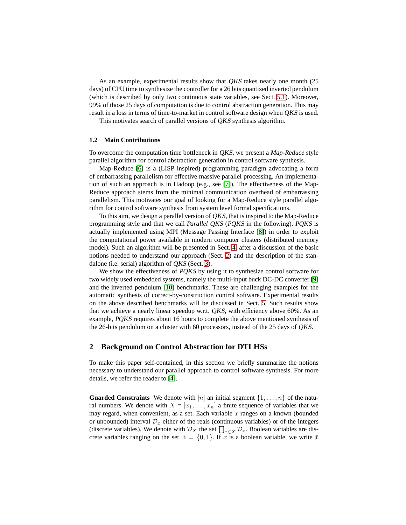As an example, experimental results show that QKS takes nearly one month (25 days) of CPU time to synthesize the controller for a 26 bits quantized inverted pendulum (which is described by only two continuous state variables, see Sect. [5.1\)](#page-8-0). Moreover, 99% of those 25 days of computation is due to control abstraction generation. This may result in a loss in terms of time-to-market in control software design when QKS is used.

This motivates search of parallel versions of QKS synthesis algorithm.

## **1.2 Main Contributions**

To overcome the computation time bottleneck in QKS, we present a *Map-Reduce* style parallel algorithm for control abstraction generation in control software synthesis.

Map-Reduce [\[6\]](#page-16-5) is a (LISP inspired) programming paradigm advocating a form of embarrassing parallelism for effective massive parallel processing. An implementation of such an approach is in Hadoop (e.g., see [\[7\]](#page-16-6)). The effectiveness of the Map-Reduce approach stems from the minimal communication overhead of embarrassing parallelism. This motivates our goal of looking for a Map-Reduce style parallel algorithm for control software synthesis from system level formal specifications.

To this aim, we design a parallel version of QKS, that is inspired to the Map-Reduce programming style and that we call *Parallel* QKS (PQKS in the following). PQKS is actually implemented using MPI (Message Passing Interface [\[8\]](#page-16-7)) in order to exploit the computational power available in modern computer clusters (distributed memory model). Such an algorithm will be presented in Sect. [4,](#page-5-0) after a discussion of the basic notions needed to understand our approach (Sect. [2\)](#page-2-0) and the description of the standalone (i.e. serial) algorithm of QKS (Sect. [3\)](#page-4-0).

We show the effectiveness of PQKS by using it to synthesize control software for two widely used embedded systems, namely the multi-input buck DC-DC converter [\[9\]](#page-16-8) and the inverted pendulum [\[10\]](#page-16-9) benchmarks. These are challenging examples for the automatic synthesis of correct-by-construction control software. Experimental results on the above described benchmarks will be discussed in Sect. [5.](#page-7-0) Such results show that we achieve a nearly linear speedup w.r.t. QKS, with efficiency above 60%. As an example, PQKS requires about 16 hours to complete the above mentioned synthesis of the 26-bits pendulum on a cluster with 60 processors, instead of the 25 days of QKS.

# <span id="page-2-0"></span>**2 Background on Control Abstraction for DTLHSs**

To make this paper self-contained, in this section we briefly summarize the notions necessary to understand our parallel approach to control software synthesis. For more details, we refer the reader to [\[4\]](#page-16-3).

**Guarded Constraints** We denote with [n] an initial segment  $\{1, \ldots, n\}$  of the natural numbers. We denote with  $X = [x_1, \ldots, x_n]$  a finite sequence of variables that we may regard, when convenient, as a set. Each variable  $x$  ranges on a known (bounded or unbounded) interval  $\mathcal{D}_x$  either of the reals (continuous variables) or of the integers (discrete variables). We denote with  $\mathcal{D}_X$  the set  $\prod_{x \in X} \mathcal{D}_x$ . Boolean variables are discrete variables ranging on the set  $\mathbb{B} = \{0, 1\}$ . If x is a boolean variable, we write  $\bar{x}$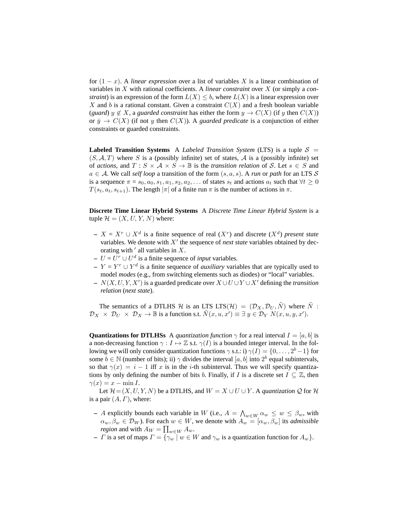for (1 − x). A *linear expression* over a list of variables X is a linear combination of variables in X with rational coefficients. A *linear constraint* over X (or simply a *constraint*) is an expression of the form  $L(X) \leq b$ , where  $L(X)$  is a linear expression over X and b is a rational constant. Given a constraint  $C(X)$  and a fresh boolean variable (*guard*)  $y \notin X$ , a *guarded constraint* has either the form  $y \to C(X)$  (if y then  $C(X)$ ) or  $\bar{y} \to C(X)$  (if not y then  $C(X)$ ). A *guarded predicate* is a conjunction of either constraints or guarded constraints.

**Labeled Transition Systems** A *Labeled Transition System* (LTS) is a tuple  $S =$  $(S, \mathcal{A}, T)$  where S is a (possibly infinite) set of states, A is a (possibly infinite) set of *actions*, and  $T : S \times A \times S \rightarrow \mathbb{B}$  is the *transition relation* of S. Let  $s \in S$  and  $a \in \mathcal{A}$ . We call *self loop* a transition of the form  $(s, a, s)$ . A *run* or *path* for an LTS S is a sequence  $\pi = s_0, a_0, s_1, a_1, s_2, a_2, \ldots$  of states  $s_t$  and actions  $a_t$  such that  $\forall t \geq 0$  $T(s_t, a_t, s_{t+1})$ . The length  $|\pi|$  of a finite run  $\pi$  is the number of actions in  $\pi$ .

**Discrete Time Linear Hybrid Systems** A *Discrete Time Linear Hybrid System* is a tuple  $\mathcal{H} = (X, U, Y, N)$  where:

- $\overline{X}$   $\overline{X}$   $\overline{X}$   $\overline{X}$   $\overline{X}$  is a finite sequence of real  $(X<sup>r</sup>)$  and discrete  $(X<sup>d</sup>)$  present state variables. We denote with  $X'$  the sequence of *next state* variables obtained by decorating with  $'$  all variables in  $X$ .
- $U = U^r \cup U^d$  is a finite sequence of *input* variables.
- $\mathbf{Y} = Y^r \cup Y^d$  is a finite sequence of *auxiliary* variables that are typically used to model *modes* (e.g., from switching elements such as diodes) or "local" variables.
- **–** N(X, U, Y, X′ ) is a guarded predicate over X ∪U ∪Y ∪X′ defining the *transition relation* (*next state*).

The semantics of a DTLHS H is an LTS LTS(H) =  $(\mathcal{D}_X, \mathcal{D}_U, \tilde{N})$  where  $\tilde{N}$ :  $\mathcal{D}_X \times \mathcal{D}_U \times \mathcal{D}_X \to \mathbb{B}$  is a function s.t.  $\tilde{N}(x, u, x') \equiv \exists y \in \mathcal{D}_Y \ N(x, u, y, x').$ 

**Quantizations for DTLHSs** A *quantization function*  $\gamma$  for a real interval  $I = [a, b]$  is a non-decreasing function  $\gamma : I \mapsto \mathbb{Z}$  s.t.  $\gamma(I)$  is a bounded integer interval. In the following we will only consider quantization functions  $\gamma$  s.t.: i)  $\gamma(I) = \{0, \ldots, 2^b-1\}$  for some  $b \in \mathbb{N}$  (number of bits); ii)  $\gamma$  divides the interval  $[a, b]$  into  $2^b$  equal subintervals, so that  $\gamma(x) = i - 1$  iff x is in the i-th subinterval. Thus we will specify quantizations by only defining the number of bits b. Finally, if I is a discrete set  $I \subseteq \mathbb{Z}$ , then  $\gamma(x) = x - \min I$ .

Let  $\mathcal{H} = (X, U, Y, N)$  be a DTLHS, and  $W = X \cup U \cup Y$ . A *quantization* Q for  $\mathcal{H}$ is a pair  $(A, \Gamma)$ , where:

- **–** A explicitly bounds each variable in W (i.e.,  $A = \bigwedge_{w \in W} \alpha_w \leq w \leq \beta_w$ , with  $\alpha_w, \beta_w \in \mathcal{D}_W$ ). For each  $w \in W$ , we denote with  $A_w = [\alpha_w, \beta_w]$  its *admissible region* and with  $A_W = \prod_{w \in W} A_w$ .
- **–**  $\Gamma$  is a set of maps  $\Gamma = \{ \gamma_w \mid w \in W \text{ and } \gamma_w \text{ is a quantization function for } A_w \}.$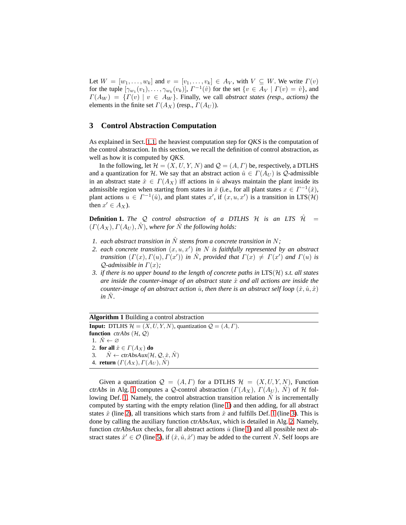Let  $W = [w_1, \ldots, w_k]$  and  $v = [v_1, \ldots, v_k] \in A_V$ , with  $V \subseteq W$ . We write  $\Gamma(v)$ for the tuple  $[\gamma_{w_1}(v_1), \ldots, \gamma_{w_k}(v_k)], \Gamma^{-1}(\hat{v})$  for the set  $\{v \in A_V | \Gamma(v) = \hat{v}\}$ , and  $\Gamma(A_W) = \{\Gamma(v) \mid v \in A_W\}.$  Finally, we call *abstract states (resp., actions)* the elements in the finite set  $\Gamma(A_X)$  (resp.,  $\Gamma(A_U)$ ).

# <span id="page-4-0"></span>**3 Control Abstraction Computation**

As explained in Sect. [1.1,](#page-1-0) the heaviest computation step for QKS is the computation of the control abstraction. In this section, we recall the definition of control abstraction, as well as how it is computed by QKS.

In the following, let  $\mathcal{H} = (X, U, Y, N)$  and  $\mathcal{Q} = (A, \Gamma)$  be, respectively, a DTLHS and a quantization for H. We say that an abstract action  $\hat{u} \in \Gamma(A_{\text{II}})$  is Q-admissible in an abstract state  $\hat{x} \in \Gamma(A_X)$  iff actions in  $\hat{u}$  always maintain the plant inside its admissible region when starting from states in  $\hat{x}$  (i.e., for all plant states  $x \in \Gamma^{-1}(\hat{x})$ , plant actions  $u \in \Gamma^{-1}(\hat{u})$ , and plant states  $x'$ , if  $(x, u, x')$  is a transition in  $LTS(\mathcal{H})$ then  $x' \in A_X$ ).

<span id="page-4-2"></span>**Definition 1.** *The*  $Q$  *control abstraction of a DTLHS H is an LTS*  $\hat{\mathcal{H}}$  *=*  $(\Gamma(A_X), \Gamma(A_U), \hat{N})$ , where for  $\hat{N}$  the following holds:

- *1. each abstract transition in*  $\hat{N}$  *stems from a concrete transition in*  $N$ ;
- *2. each concrete transition* (x, u, x′ ) *in* N *is faithfully represented by an abstract transition*  $(\Gamma(x), \Gamma(u), \Gamma(x'))$  *in*  $\hat{N}$ *, provided that*  $\Gamma(x) \neq \Gamma(x')$  *and*  $\Gamma(u)$  *is* Q*-admissible in* Γ(x)*;*
- *3. if there is no upper bound to the length of concrete paths in* LTS(H) *s.t. all states are inside the counter-image of an abstract state*  $\hat{x}$  *and all actions are inside the counter-image of an abstract action*  $\hat{u}$ *, then there is an abstract self loop*  $(\hat{x}, \hat{u}, \hat{x})$ *in*  $\hat{N}$ *.*

# **Algorithm 1** Building a control abstraction

<span id="page-4-5"></span><span id="page-4-4"></span><span id="page-4-3"></span><span id="page-4-1"></span>**Input:** DTLHS  $\mathcal{H} = (X, U, Y, N)$ , quantization  $\mathcal{Q} = (A, \Gamma)$ . **function** ctrAbs  $(\mathcal{H}, \mathcal{Q})$ 1.  $\hat{N} \leftarrow \varnothing$ 2. **for all**  $\hat{x} \in \Gamma(A_X)$  **do** 3.  $\hat{N} \leftarrow \text{ctrAbsAux}(\mathcal{H}, \mathcal{Q}, \hat{x}, \hat{N})$ 4. **return**  $(\Gamma(A_X), \Gamma(A_U), \hat{N})$ 

Given a quantization  $\mathcal{Q} = (A, \Gamma)$  for a DTLHS  $\mathcal{H} = (X, U, Y, N)$ , Function ctrAbs in Alg. [1](#page-4-1) computes a Q-control abstraction  $(\Gamma(A_X), \Gamma(A_U), \hat{N})$  of H fol-lowing Def. [1.](#page-4-2) Namely, the control abstraction transition relation  $\hat{N}$  is incrementally computed by starting with the empty relation (line [1\)](#page-4-3) and then adding, for all abstract states  $\hat{x}$  (line [2\)](#page-4-4), all transitions which starts from  $\hat{x}$  and fulfills Def. [1](#page-4-2) (line [3\)](#page-4-5). This is done by calling the auxiliary function ctrAbsAux, which is detailed in Alg. [2.](#page-5-1) Namely, function ctrAbsAux checks, for all abstract actions  $\hat{u}$  (line [1\)](#page-5-2) and all possible next abstract states  $\hat{x}' \in \mathcal{O}$  (line [5\)](#page-5-3), if  $(\hat{x}, \hat{u}, \hat{x}')$  may be added to the current  $\hat{N}$ . Self loops are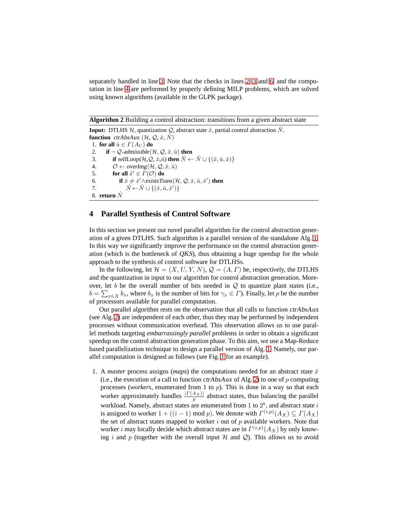separately handled in line [3.](#page-5-4) Note that the checks in lines [2,](#page-5-5) [3](#page-5-4) and [6,](#page-5-6) and the computation in line [4](#page-5-7) are performed by properly defining MILP problems, which are solved using known algorithms (available in the GLPK package).

<span id="page-5-1"></span>**Algorithm 2** Building a control abstraction: transitions from a given abstract state

<span id="page-5-7"></span><span id="page-5-5"></span><span id="page-5-4"></span><span id="page-5-3"></span><span id="page-5-2"></span>**Input:** DTLHS  $H$ , quantization  $Q$ , abstract state  $\hat{x}$ , partial control abstraction  $N$ . **function** ctrAbsAux  $(\mathcal{H}, \mathcal{Q}, \hat{x}, \hat{N})$ 1. **for all**  $\hat{u} \in \Gamma(A_U)$  **do** 2. **if**  $\neg Q$ -admissible( $\mathcal{H}, Q, \hat{x}, \hat{u}$ ) **then** 3. **if** selfLoop( $\mathcal{H}, \mathcal{Q}, \hat{x}, \hat{u}$ ) **then**  $\hat{N} \leftarrow \hat{N} \cup \{(\hat{x}, \hat{u}, \hat{x})\}$ 4.  $\mathcal{O} \leftarrow \text{overImg}(\mathcal{H}, \mathcal{Q}, \hat{x}, \hat{u})$ 5. **for all**  $\hat{x}' \in \Gamma(\mathcal{O})$  **do** 6. **if**  $\hat{x} \neq \hat{x}' \wedge \text{exists Trans}(\mathcal{H}, \mathcal{Q}, \hat{x}, \hat{u}, \hat{x}')$  then 7.  $\hat{N} \leftarrow \hat{N} \cup \{(\hat{x}, \hat{u}, \hat{x}')\}$ 8. **return**  $\hat{N}$ 

# <span id="page-5-6"></span><span id="page-5-0"></span>**4 Parallel Synthesis of Control Software**

In this section we present our novel parallel algorithm for the control abstraction generation of a given DTLHS. Such algorithm is a parallel version of the standalone Alg. [1.](#page-4-1) In this way we significantly improve the performance on the control abstraction generation (which is the bottleneck of QKS), thus obtaining a huge speedup for the whole approach to the synthesis of control software for DTLHSs.

In the following, let  $\mathcal{H} = (X, U, Y, N), \mathcal{Q} = (A, \Gamma)$  be, respectively, the DTLHS and the quantization in input to our algorithm for control abstraction generation. Moreover, let b be the overall number of bits needed in  $Q$  to quantize plant states (i.e.,  $b = \sum_{x \in X} b_x$ , where  $b_x$  is the number of bits for  $\gamma_x \in \Gamma$ ). Finally, let p be the number of processors available for parallel computation.

Our parallel algorithm rests on the observation that all calls to function ctrAbsAux (see Alg. [2\)](#page-5-1) are independent of each other, thus they may be performed by independent processes without communication overhead. This observation allows us to use parallel methods targeting *embarrassingly parallel* problems in order to obtain a significant speedup on the control abstraction generation phase. To this aim, we use a Map-Reduce based parallelization technique to design a parallel version of Alg. [1.](#page-4-1) Namely, our parallel computation is designed as follows (see Fig. [1](#page-6-0) for an example).

1. A *master* process assigns (*maps*) the computations needed for an abstract state  $\hat{x}$ (i.e., the execution of a call to function  $\text{ctrA}\text{bsA}$ ux of Alg. [2\)](#page-5-1) to one of p computing processes (*workers*, enumerated from 1 to p). This is done in a way so that each worker approximately handles  $\frac{\left|\Gamma(A_X)\right|}{p}$  abstract states, thus balancing the parallel workload. Namely, abstract states are enumerated from 1 to  $2^b$ , and abstract state i is assigned to worker  $1 + ((i - 1) \bmod p)$ . We denote with  $\Gamma^{(i,p)}(A_X) \subseteq \Gamma(A_X)$ the set of abstract states mapped to worker  $i$  out of  $p$  available workers. Note that worker *i* may locally decide which abstract states are in  $\Gamma^{(i,p)}(A_X)$  by only knowing i and p (together with the overall input  $H$  and  $Q$ ). This allows us to avoid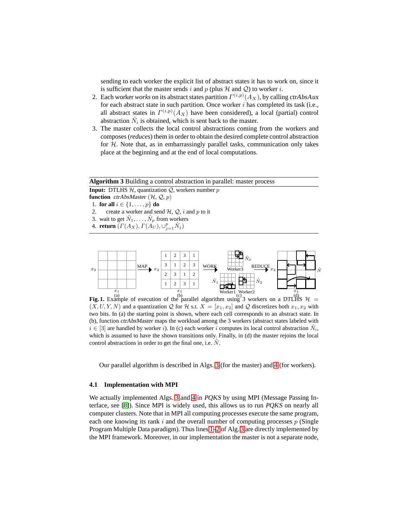sending to each worker the explicit list of abstract states it has to work on, since it is sufficient that the master sends i and p (plus  $H$  and  $Q$ ) to worker i.

- 2. Each worker *works* on its abstract states partition  $\Gamma^{(i,p)}(A_X)$ , by calling *ctrAbsAux* for each abstract state in such partition. Once worker  $i$  has completed its task (i.e., all abstract states in  $\Gamma^{(i,p)}(A_X)$  have been considered), a local (partial) control abstraction  $\hat{N}_i$  is obtained, which is sent back to the master.
- 3. The master collects the local control abstractions coming from the workers and composes (*reduces*) them in order to obtain the desired complete control abstraction for  $H$ . Note that, as in embarrassingly parallel tasks, communication only takes place at the beginning and at the end of local computations.

## <span id="page-6-1"></span>**Algorithm 3** Building a control abstraction in parallel: master process

**Input:** DTLHS  $H$ , quantization  $Q$ , workers number  $p$ **function** ctrAbsMaster  $(\mathcal{H}, \mathcal{Q}, p)$ 

- <span id="page-6-3"></span><span id="page-6-2"></span>1. **for all**  $i \in \{1, ..., p\}$  **do**
- <span id="page-6-4"></span>2. create a worker and send  $H$ ,  $Q$ , i and p to it
- 3. wait to get  $\hat{N}_1, \ldots, \hat{N}_p$  from workers
- 4. **return**  $(\Gamma(A_X), \Gamma(A_U), \cup_{j=1}^p \hat{N}_j)$
- 



<span id="page-6-0"></span> $(X, U, Y, N)$  and a quantization Q for H s.t.  $X = [x_1, x_2]$  and Q discretizes both  $x_1, x_2$  with two bits. In (a) the starting point is shown, where each cell corresponds to an abstract state. In (b), function ctrAbsMaster maps the workload among the 3 workers (abstract states labeled with  $i \in [3]$  are handled by worker i). In (c) each worker i computes its local control abstraction  $N_i$ , which is assumed to have the shown transitions only. Finally, in (d) the master rejoins the local control abstractions in order to get the final one, i.e.  $\hat{N}$ .

Our parallel algorithm is described in Algs. [3](#page-6-1) (for the master) and [4](#page-7-1) (for workers).

#### <span id="page-6-5"></span>**4.1 Implementation with MPI**

We actually implemented Algs. [3](#page-6-1) and [4](#page-7-1) in PQKS by using MPI (Message Passing Interface, see [\[8\]](#page-16-7)). Since MPI is widely used, this allows us to run PQKS on nearly all computer clusters. Note that in MPI all computing processes execute the same program, each one knowing its rank i and the overall number of computing processes  $p$  (Single Program Multiple Data paradigm). Thus lines [1](#page-6-2)[–2](#page-6-3) of Alg. [3](#page-6-1) are directly implemented by the MPI framework. Moreover, in our implementation the master is not a separate node,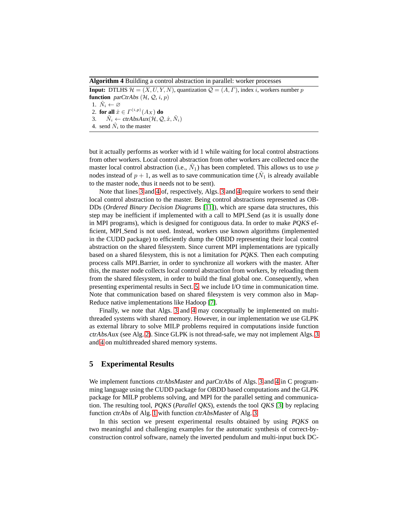<span id="page-7-1"></span>**Algorithm 4** Building a control abstraction in parallel: worker processes

<span id="page-7-2"></span>**Input:** DTLHS  $\mathcal{H} = (X, U, Y, N)$ , quantization  $\mathcal{Q} = (A, \Gamma)$ , index *i*, workers number *p* **function** parCtrAbs  $(\mathcal{H}, \mathcal{Q}, i, p)$ 1.  $N_i \leftarrow \emptyset$ 2. **for all**  $\hat{x} \in \varGamma^{(i,p)}(A_X)$  **do** 3.  $\hat{N}_i \leftarrow \text{ctrAbsAux}(\mathcal{H}, \mathcal{Q}, \hat{x}, \hat{N}_i)$ 4. send  $N_i$  to the master

but it actually performs as worker with id 1 while waiting for local control abstractions from other workers. Local control abstraction from other workers are collected once the master local control abstraction (i.e.,  $\hat{N}_1$ ) has been completed. This allows us to use p nodes instead of  $p + 1$ , as well as to save communication time ( $\hat{N}_1$  is already available to the master node, thus it needs not to be sent).

Note that lines [3](#page-6-4) and [4](#page-7-2) of, respectively, Algs. [3](#page-6-1) and [4](#page-7-1) require workers to send their local control abstraction to the master. Being control abstractions represented as OB-DDs (*Ordered Binary Decision Diagrams* [\[11\]](#page-16-10)), which are sparse data structures, this step may be inefficient if implemented with a call to MPI Send (as it is usually done in MPI programs), which is designed for contiguous data. In order to make PQKS efficient, MPI Send is not used. Instead, workers use known algorithms (implemented in the CUDD package) to efficiently dump the OBDD representing their local control abstraction on the shared filesystem. Since current MPI implementations are typically based on a shared filesystem, this is not a limitation for PQKS. Then each computing process calls MPI Barrier, in order to synchronize all workers with the master. After this, the master node collects local control abstraction from workers, by reloading them from the shared filesystem, in order to build the final global one. Consequently, when presenting experimental results in Sect. [5,](#page-7-0) we include I/O time in communication time. Note that communication based on shared filesystem is very common also in Map-Reduce native implementations like Hadoop [\[7\]](#page-16-6).

Finally, we note that Algs. [3](#page-6-1) and [4](#page-7-1) may conceptually be implemented on multithreaded systems with shared memory. However, in our implementation we use GLPK as external library to solve MILP problems required in computations inside function ctrAbsAux (see Alg. [2\)](#page-5-1). Since GLPK is not thread-safe, we may not implement Algs. [3](#page-6-1) and [4](#page-7-1) on multithreaded shared memory systems.

# <span id="page-7-0"></span>**5 Experimental Results**

We implement functions *ctrAbsMaster* and *parCtrAbs* of Algs. [3](#page-6-1) and [4](#page-7-1) in C programming language using the CUDD package for OBDD based computations and the GLPK package for MILP problems solving, and MPI for the parallel setting and communication. The resulting tool, PQKS (*Parallel QKS*), extends the tool QKS [\[3\]](#page-16-2) by replacing function *ctrAbs* of Alg. [1](#page-4-1) with function *ctrAbsMaster* of Alg. [3.](#page-6-1)

In this section we present experimental results obtained by using PQKS on two meaningful and challenging examples for the automatic synthesis of correct-byconstruction control software, namely the inverted pendulum and multi-input buck DC-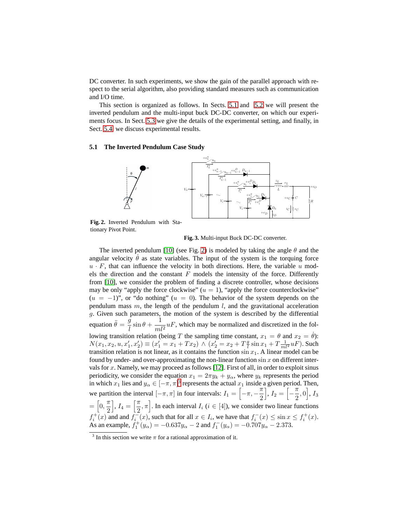DC converter. In such experiments, we show the gain of the parallel approach with respect to the serial algorithm, also providing standard measures such as communication and I/O time.

This section is organized as follows. In Sects. [5.1](#page-8-0) and [5.2](#page-9-0) we will present the inverted pendulum and the multi-input buck DC-DC converter, on which our experiments focus. In Sect. [5.3](#page-10-0) we give the details of the experimental setting, and finally, in Sect. [5.4,](#page-13-0) we discuss experimental results.

#### <span id="page-8-0"></span>**5.1 The Inverted Pendulum Case Study**



<span id="page-8-1"></span>**Fig. 2.** Inverted Pendulum with Stationary Pivot Point.

<span id="page-8-3"></span>**Fig. 3.** Multi-input Buck DC-DC converter.

The inverted pendulum [\[10\]](#page-16-9) (see Fig. [2\)](#page-8-1) is modeled by taking the angle  $\theta$  and the angular velocity  $\theta$  as state variables. The input of the system is the torquing force  $u \cdot F$ , that can influence the velocity in both directions. Here, the variable u models the direction and the constant  $F$  models the intensity of the force. Differently from [\[10\]](#page-16-9), we consider the problem of finding a discrete controller, whose decisions may be only "apply the force clockwise"  $(u = 1)$ , "apply the force counterclockwise"  $(u = -1)$ ", or "do nothing"  $(u = 0)$ . The behavior of the system depends on the pendulum mass  $m$ , the length of the pendulum  $l$ , and the gravitational acceleration g. Given such parameters, the motion of the system is described by the differential equation  $\ddot{\theta} = \frac{g}{l}$  $\frac{g}{l}\sin\theta + \frac{1}{ml}$  $\frac{1}{m l^2} uF$ , which may be normalized and discretized in the following transition relation (being T the sampling time constant,  $x_1 = \theta$  and  $x_2 = \dot{\theta}$ ):  $N(x_1, x_2, u, x'_1, x'_2) \equiv (x'_1 = x_1 + Tx_2) \wedge (x'_2 = x_2 + T\frac{g}{l}\sin x_1 + T\frac{1}{ml^2}uF)$ . Such transition relation is not linear, as it contains the function  $\sin x_1$ . A linear model can be found by under- and over-approximating the non-linear function  $\sin x$  on different intervals for  $x$ . Namely, we may proceed as follows [\[12\]](#page-17-0). First of all, in order to exploit sinus periodicity, we consider the equation  $x_1 = 2\pi y_k + y_\alpha$ , where  $y_k$  represents the period in which  $x_1$  lies and  $y_\alpha \in [-\pi, \pi]^3$  $y_\alpha \in [-\pi, \pi]^3$  represents the actual  $x_1$  inside a given period. Then, we partition the interval  $[-\pi, \pi]$  in four intervals:  $I_1 = \left[-\pi, -\frac{\pi}{2}\right]$ 2  $\Big|, I_2 = \Big| - \frac{\pi}{2}$  $\left[\frac{\pi}{2},0\right]$ ,  $I_3$  $= \left[0, \frac{\pi}{2}\right]$ 2  $\bigg|, I_4 = \Big[\frac{\pi}{2}\Big]$  $\left[\frac{\pi}{2}, \pi\right]$ . In each interval  $I_i$  ( $i \in [4]$ ), we consider two linear functions  $f_i^+(x)$  and and  $f_i^-(x)$ , such that for all  $x \in I_i$ , we have that  $f_i^-(x) \le \sin x \le f_i^+(x)$ . As an example,  $f_1^+(y_\alpha) = -0.637y_\alpha - 2$  and  $f_1^-(y_\alpha) = -0.707y_\alpha - 2.373$ .

<span id="page-8-2"></span><sup>&</sup>lt;sup>3</sup> In this section we write  $\pi$  for a rational approximation of it.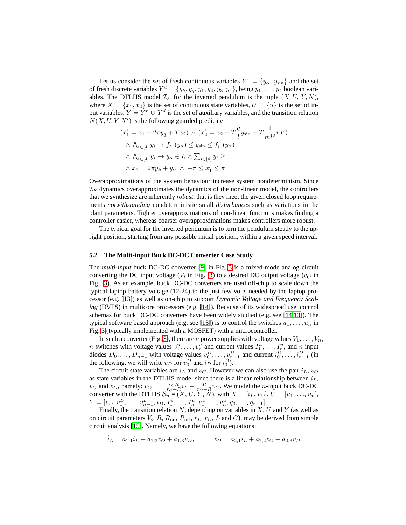Let us consider the set of fresh continuous variables  $Y^r = \{y_\alpha, y_{\sin}\}\$  and the set of fresh discrete variables  $Y^d = \{y_k, y_q, y_1, y_2, y_3, y_4\}$ , being  $y_1, \ldots, y_4$  boolean variables. The DTLHS model  $\mathcal{I}_F$  for the inverted pendulum is the tuple  $(X, U, Y, N)$ , where  $X = \{x_1, x_2\}$  is the set of continuous state variables,  $U = \{u\}$  is the set of input variables,  $Y = Y^r \cup Y^d$  is the set of auxiliary variables, and the transition relation  $N(X, U, Y, X')$  is the following guarded predicate:

$$
(x'_1 = x_1 + 2\pi y_q + Tx_2) \wedge (x'_2 = x_2 + T\frac{g}{l}y_{\sin} + T\frac{1}{ml^2}uF)
$$
  

$$
\wedge \wedge_{i \in [4]} y_i \rightarrow f_i^-(y_\alpha) \le y_{\sin} \le f_i^+(y_\alpha)
$$
  

$$
\wedge \wedge_{i \in [4]} y_i \rightarrow y_\alpha \in I_i \wedge \sum_{i \in [4]} y_i \ge 1
$$
  

$$
\wedge x_1 = 2\pi y_k + y_\alpha \wedge -\pi \le x'_1 \le \pi
$$

Overapproximations of the system behaviour increase system nondeterminism. Since  $\mathcal{I}_F$  dynamics overapproximates the dynamics of the non-linear model, the controllers that we synthesize are inherently *robust*, that is they meet the given closed loop requirements *notwithstanding* nondeterministic small *disturbances* such as variations in the plant parameters. Tighter overapproximations of non-linear functions makes finding a controller easier, whereas coarser overapproximations makes controllers more robust.

The typical goal for the inverted pendulum is to turn the pendulum steady to the upright position, starting from any possible initial position, within a given speed interval.

## <span id="page-9-0"></span>**5.2 The Multi-input Buck DC-DC Converter Case Study**

The *multi-input* buck DC-DC converter [\[9\]](#page-16-8) in Fig. [3](#page-8-3) is a mixed-mode analog circuit converting the DC input voltage ( $V_i$  in Fig. [3\)](#page-8-3) to a desired DC output voltage ( $v_O$  in Fig. [3\)](#page-8-3). As an example, buck DC-DC converters are used off-chip to scale down the typical laptop battery voltage (12-24) to the just few volts needed by the laptop processor (e.g. [\[13\]](#page-17-1)) as well as on-chip to support *Dynamic Voltage and Frequency Scaling* (DVFS) in multicore processors (e.g. [\[14\]](#page-17-2)). Because of its widespread use, control schemas for buck DC-DC converters have been widely studied (e.g. see [\[14,](#page-17-2)[13\]](#page-17-1)). The typical software based approach (e.g. see [\[13\]](#page-17-1)) is to control the switches  $u_1, \ldots, u_n$  in Fig. [3](#page-8-3) (typically implemented with a MOSFET) with a microcontroller.

In such a converter (Fig. [3\)](#page-8-3), there are *n* power supplies with voltage values  $V_1, \ldots, V_n$ , *n* switches with voltage values  $v_1^u, \ldots, v_n^u$  and current values  $I_1^u, \ldots, I_n^u$ , and  $n$  input diodes  $D_0, \ldots, D_{n-1}$  with voltage values  $v_0^D, \ldots, v_{n-1}^D$  and current  $i_0^D, \ldots, i_{n-1}^D$  (in the following, we will write  $v_D$  for  $v_0^D$  and  $i_D$  for  $i_0^D$ ).

The circuit state variables are  $i_L$  and  $v_C$ . However we can also use the pair  $i_L$ ,  $v_O$ as state variables in the DTLHS model since there is a linear relationship between  $i<sub>L</sub>$ ,  $v_C$  and  $v_O$ , namely:  $v_O = \frac{r_C R}{r_C + R} i_L + \frac{R}{r_C + R} v_C$ . We model the *n*-input buck DC-DC converter with the DTLHS  $\mathcal{B}_n = (X, U, Y, N)$ , with  $X = [i_L, v_O], U = [u_1, ..., u_n]$ ,  $Y = [v_D, v_1^D, \ldots, v_{n-1}^D, i_D, I_1^u, \ldots, I_n^u, v_1^u, \ldots, v_n^u, q_0, \ldots, q_{n-1}].$ 

Finally, the transition relation N, depending on variables in  $X, U$  and Y (as well as on circuit parameters  $V_i$ ,  $R$ ,  $R_{on}$ ,  $R_{off}$ ,  $r_L$ ,  $r_C$ ,  $L$  and  $C$ ), may be derived from simple circuit analysis [\[15\]](#page-17-3). Namely, we have the following equations:

$$
\dot{i}_L = a_{1,1}i_L + a_{1,2}v_O + a_{1,3}v_D, \qquad \dot{v}_O = a_{2,1}i_L + a_{2,2}v_O + a_{2,3}v_D
$$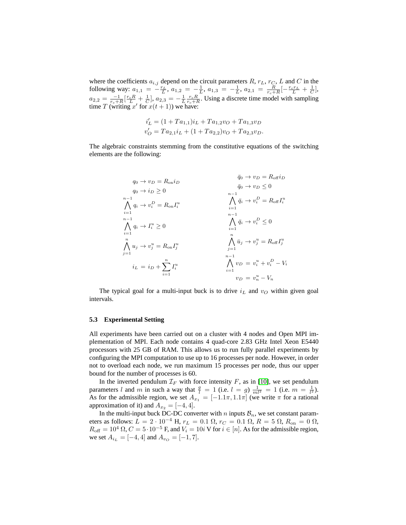where the coefficients  $a_{i,j}$  depend on the circuit parameters  $R$ ,  $r_L$ ,  $r_C$ ,  $L$  and  $C$  in the following way:  $a_{1,1} = -\frac{r_L}{L}$ ,  $a_{1,2} = -\frac{1}{L}$ ,  $a_{1,3} = -\frac{1}{L}$ ,  $a_{2,1} = \frac{R}{r_c + R}[-\frac{r_c r_L}{L} + \frac{1}{C}]$ ,  $a_{2,2} = \frac{-1}{r_c+R} \left[\frac{r_cR}{L} + \frac{1}{C}\right], a_{2,3} = -\frac{1}{L} \frac{r_cR}{r_c+R}$ . Using a discrete time model with sampling time T (writing x' for  $x(t + 1)$ ) we have:

$$
i'_L = (1 + Ta_{1,1})i_L + Ta_{1,2}v_O + Ta_{1,3}v_D
$$
  

$$
v'_O = Ta_{2,1}i_L + (1 + Ta_{2,2})v_O + Ta_{2,3}v_D
$$

The algebraic constraints stemming from the constitutive equations of the switching elements are the following:

$$
q_0 \rightarrow v_D = R_{\text{on}} i_D
$$
  
\n
$$
q_0 \rightarrow i_D \ge 0
$$
  
\n
$$
\begin{array}{ccc}\n & & & & \bar{q}_0 \rightarrow v_D = R_{\text{off}} i_D \\
& & & & \bar{q}_0 \rightarrow v_D = R_{\text{off}} i_D \\
& & & & \bar{q}_0 \rightarrow v_D \le 0 \\
& & & & & \bar{q}_0 \rightarrow v_D \le 0 \\
& & & & & \bar{q}_0 \rightarrow v_D \le 0 \\
& & & & & \bar{q}_0 \rightarrow v_D \le 0 \\
& & & & & \bar{q}_0 \rightarrow v_D \le 0 \\
& & & & & \bar{q}_0 \rightarrow v_D \le 0 \\
& & & & & \bar{q}_0 \rightarrow v_D \ge 0 \\
& & & & & \bar{q}_0 \rightarrow v_D \ge 0 \\
& & & & & \bar{q}_0 \rightarrow v_D \ge 0 \\
& & & & & & \bar{q}_0 \rightarrow v_D \ge 0 \\
& & & & & & \bar{q}_0 \rightarrow v_D \ge 0 \\
& & & & & & \bar{q}_0 \rightarrow v_D \ge 0 \\
& & & & & & \bar{q}_0 \rightarrow v_D \ge 0 \\
& & & & & & \bar{q}_0 \rightarrow v_D \ge 0 \\
& & & & & & \bar{q}_0 \rightarrow v_D \ge 0 \\
& & & & & & \bar{q}_0 \rightarrow v_D \ge 0 \\
& & & & & & \bar{q}_0 \rightarrow v_D \ge 0 \\
& & & & & & \bar{q}_0 \rightarrow v_D \ge 0 \\
& & & & & & \bar{q}_0 \rightarrow v_D \ge 0 \\
& & & & & & \bar{q}_0 \rightarrow v_D \ge 0 \\
& & & & & & \bar{q}_0 \rightarrow v_D \ge 0 \\
& & & & & & \bar{q}_0 \rightarrow v_D \ge 0 \\
& & & & & & \bar{q}_0 \rightarrow v_D \ge 0 \\
& & & & & & \bar{q}_0 \rightarrow v_D \ge 0 \\
& & & & & & \bar{q}_0 \rightarrow v_D \ge 0 \\
& & & & & & \bar{q}_0 \rightarrow v_D \ge 0 \\
& & & & & & \bar{q}_0 \rightarrow v_D \ge 0 \\
& & & & & & \bar{q}_0 \rightarrow v_D \ge 0 \\
& & & & & & \bar{q}_0 \rightarrow v_D \ge 0 \\
& & & & & & \bar{q}_0 \rightarrow v_D \ge 0 \\
& & & & & & \bar{q}_0 \rightarrow v_D \ge 0 \\
& & & & & & & \bar
$$

The typical goal for a multi-input buck is to drive  $i<sub>L</sub>$  and  $v<sub>O</sub>$  within given goal intervals.

## <span id="page-10-0"></span>**5.3 Experimental Setting**

All experiments have been carried out on a cluster with 4 nodes and Open MPI implementation of MPI. Each node contains 4 quad-core 2.83 GHz Intel Xeon E5440 processors with 25 GB of RAM. This allows us to run fully parallel experiments by configuring the MPI computation to use up to 16 processes per node. However, in order not to overload each node, we run maximum 15 processes per node, thus our upper bound for the number of processes is 60.

In the inverted pendulum  $\mathcal{I}_F$  with force intensity F, as in [\[10\]](#page-16-9), we set pendulum parameters l and m in such a way that  $\frac{g}{l} = 1$  (i.e.  $l = g$ )  $\frac{1}{ml^2} = 1$  (i.e.  $m = \frac{1}{l^2}$ ). As for the admissible region, we set  $A_{x_1} = [-1.1\pi, 1.1\pi]$  (we write  $\pi$  for a rational approximation of it) and  $A_{x_2} = [-4, 4]$ .

In the multi-input buck DC-DC converter with  $n$  inputs  $B_n$ , we set constant parameters as follows:  $\hat{L} = 2 \cdot 10^{-4}$  H,  $r_L = 0.1 \Omega$ ,  $r_C = 0.1 \Omega$ ,  $R = 5 \Omega$ ,  $R_{on} = 0 \Omega$ ,  $R_{\text{off}} = 10^4 \Omega$ ,  $C = 5 \cdot 10^{-5}$  F, and  $V_i = 10i$  V for  $i \in [n]$ . As for the admissible region, we set  $A_{i_L} = [-4, 4]$  and  $A_{v_O} = [-1, 7]$ .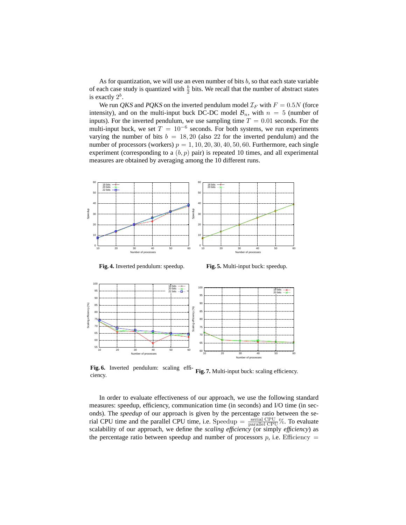As for quantization, we will use an even number of bits  $b$ , so that each state variable of each case study is quantized with  $\frac{b}{2}$  bits. We recall that the number of abstract states is exactly  $2^b$ .

We run QKS and PQKS on the inverted pendulum model  $\mathcal{I}_F$  with  $F = 0.5N$  (force intensity), and on the multi-input buck DC-DC model  $\mathcal{B}_n$ , with  $n = 5$  (number of inputs). For the inverted pendulum, we use sampling time  $T = 0.01$  seconds. For the multi-input buck, we set  $T = 10^{-6}$  seconds. For both systems, we run experiments varying the number of bits  $b = 18, 20$  (also 22 for the inverted pendulum) and the number of processors (workers)  $p = 1, 10, 20, 30, 40, 50, 60$ . Furthermore, each single experiment (corresponding to a  $(b, p)$  pair) is repeated 10 times, and all experimental measures are obtained by averaging among the 10 different runs.



<span id="page-11-3"></span><span id="page-11-2"></span><span id="page-11-1"></span><span id="page-11-0"></span>**Fig. 6.** Inverted pendulum: scaling effi-<br> **Fig. 7.** Multi-input buck: scaling efficiency. ciency.

In order to evaluate effectiveness of our approach, we use the following standard measures: speedup, efficiency, communication time (in seconds) and I/O time (in seconds). The *speedup* of our approach is given by the percentage ratio between the serial CPU time and the parallel CPU time, i.e. Speedup  $=$   $\frac{\text{serial CPU}}{\text{parallel CPU}}$ %. To evaluate scalability of our approach, we define the *scaling efficiency* (or simply *efficiency*) as the percentage ratio between speedup and number of processors  $p$ , i.e. Efficiency =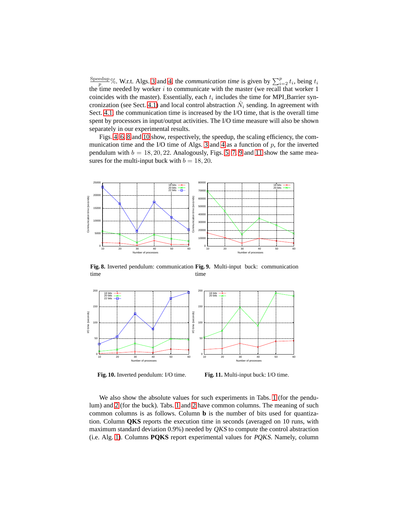$\frac{\text{Speedup}}{p}$ %. W.r.t. Algs. [3](#page-6-1) and [4,](#page-7-1) the *communication time* is given by  $\sum_{i=2}^{p} t_i$ , being  $t_i$ the time needed by worker  $i$  to communicate with the master (we recall that worker 1 coincides with the master). Essentially, each  $t_i$  includes the time for MPI Barrier syn-cronization (see Sect. [4.1\)](#page-6-5) and local control abstraction  $\hat{N}_i$  sending. In agreement with Sect. [4.1,](#page-6-5) the communication time is increased by the I/O time, that is the overall time spent by processors in input/output activities. The I/O time measure will also be shown separately in our experimental results.

Figs. [4,](#page-11-0) [6,](#page-11-1) [8](#page-12-0) and [10](#page-12-1) show, respectively, the speedup, the scaling efficiency, the com-munication time and the I/O time of Algs. [3](#page-6-1) and [4](#page-7-1) as a function of  $p$ , for the inverted pendulum with  $b = 18, 20, 22$ . Analogously, Figs. [5,](#page-11-2) [7,](#page-11-3) [9](#page-12-2) and [11](#page-12-3) show the same measures for the multi-input buck with  $b = 18, 20$ .



<span id="page-12-0"></span>**Fig. 8.** Inverted pendulum: communication **Fig. 9.** Multi-input buck: communication time time



<span id="page-12-1"></span>**Fig. 10.** Inverted pendulum: I/O time.

<span id="page-12-3"></span><span id="page-12-2"></span>**Fig. 11.** Multi-input buck: I/O time.

We also show the absolute values for such experiments in Tabs. [1](#page-13-1) (for the pendulum) and [2](#page-15-0) (for the buck). Tabs. [1](#page-13-1) and [2](#page-15-0) have common columns. The meaning of such common columns is as follows. Column **b** is the number of bits used for quantization. Column **QKS** reports the execution time in seconds (averaged on 10 runs, with maximum standard deviation 0.9%) needed by QKS to compute the control abstraction (i.e. Alg. [1\)](#page-4-1). Columns **PQKS** report experimental values for PQKS. Namely, column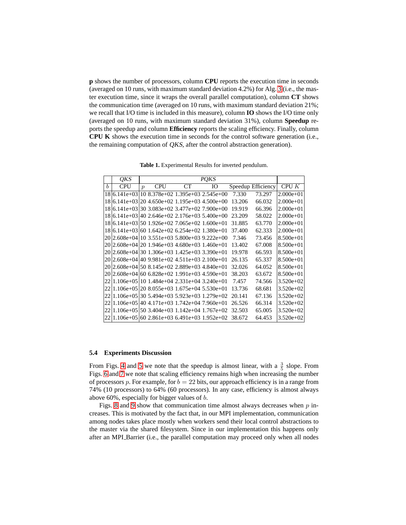**p** shows the number of processors, column **CPU** reports the execution time in seconds (averaged on 10 runs, with maximum standard deviation 4.2%) for Alg. [3](#page-6-1) (i.e., the master execution time, since it wraps the overall parallel computation), column **CT** shows the communication time (averaged on 10 runs, with maximum standard deviation 21%; we recall that I/O time is included in this measure), column **IO** shows the I/O time only (averaged on 10 runs, with maximum standard deviation 31%), column **Speedup** reports the speedup and column **Efficiency** reports the scaling efficiency. Finally, column **CPU K** shows the execution time in seconds for the control software generation (i.e., the remaining computation of QKS, after the control abstraction generation).

<span id="page-13-1"></span>**Table 1.** Experimental Results for inverted pendulum.

|                  | <b>OKS</b>                                                |                  |            |                                                  | <b>POKS</b> |        |                    |               |
|------------------|-----------------------------------------------------------|------------------|------------|--------------------------------------------------|-------------|--------|--------------------|---------------|
| $\boldsymbol{b}$ | <b>CPU</b>                                                | $\boldsymbol{p}$ | <b>CPU</b> | <b>CT</b>                                        | IО          |        | Speedup Efficiency | CPUK          |
|                  | 18 6.14 1 e + 03                                          |                  |            | $108.378e+021.395e+032.545e+00$                  |             | 7.330  | 73.297             | $2.000e + 01$ |
| 18 <sup> </sup>  |                                                           |                  |            | $6.141e+03 204.650e+021.195e+034.500e+00$        |             | 13.206 | 66.032             | $2.000e + 01$ |
|                  | 18 6.141 e + 03 30 3.083 e + 02 3.477 e + 02 7.900 e + 00 |                  |            |                                                  |             | 19.919 | 66.396             | $2.000e + 01$ |
|                  | 18 6.141 e + 03 40 2.646 e + 02 2.176 e + 03 5.400 e + 00 |                  |            |                                                  |             | 23.209 | 58.022             | $2.000e + 01$ |
|                  | 18 6.141 e + 03 50 1.926 e + 02 7.065 e + 02 1.600 e + 01 |                  |            |                                                  |             | 31.885 | 63.770             | $2.000e + 01$ |
|                  | $18 6.141e+03 601.642e+026.254e+021.380e+01$              |                  |            |                                                  |             | 37.400 | 62.333             | $2.000e + 01$ |
|                  | 20 2.608 e + 04 10 3.551 e + 03 5.800 e + 03 9.222 e + 00 |                  |            |                                                  |             | 7.346  | 73.456             | $8.500e+01$   |
|                  | 20 2.608 e + 04 20 1.946 e + 03 4.680 e + 03 1.460 e + 01 |                  |            |                                                  |             | 13.402 | 67.008             | $8.500e + 01$ |
|                  | 20 2.608 e + 04 30 1.306 e + 03 1.425 e + 03 3.390 e + 01 |                  |            |                                                  |             | 19.978 | 66.593             | $8.500e+01$   |
|                  | 20 2.608 e + 04 40 9.981 e + 02 4.511 e + 03 2.100 e + 01 |                  |            |                                                  |             | 26.135 | 65.337             | $8.500e+01$   |
| 20 I             |                                                           |                  |            | $2.608e+04 508.145e+022.89e+034.840e+01$         |             | 32.026 | 64.052             | $8.500e + 01$ |
| 20 I             |                                                           |                  |            | $2.608e+04 606.828e+021.991e+034.590e+01$        |             | 38.203 | 63.672             | $8.500e+01$   |
| 22               |                                                           |                  |            | $1.106e+05 101.484e+042.331e+043.240e+01$        |             | 7.457  | 74.566             | $3.520e+02$   |
| 22               |                                                           |                  |            | $1.106e+05$  20 8.055e+03 1.675e+04 5.530e+01    |             | 13.736 | 68.681             | $3.520e+02$   |
| 221              |                                                           |                  |            | $1.106e+05 305.494e+035.923e+031.279e+02$        |             | 20.141 | 67.136             | $3.520e+02$   |
| 22               |                                                           |                  |            | $1.106e+05 404.171e+031.742e+047.960e+01$        |             | 26.526 | 66.314             | $3.520e+02$   |
| 22               |                                                           |                  |            | $1.106e+05503.404e+031.142e+041.767e+02$         |             | 32.503 | 65.005             | $3.520e+02$   |
| 22               |                                                           |                  |            | $1.106e+05\,60\,2.861e+03\,6.491e+03\,1.952e+02$ |             | 38.672 | 64.453             | $3.520e+02$   |

## <span id="page-13-0"></span>**5.4 Experiments Discussion**

From Figs. [4](#page-11-0) and [5](#page-11-2) we note that the speedup is almost linear, with a  $\frac{3}{5}$  slope. From Figs. [6](#page-11-1) and [7](#page-11-3) we note that scaling efficiency remains high when increasing the number of processors p. For example, for  $b = 22$  bits, our approach efficiency is in a range from 74% (10 processors) to 64% (60 processors). In any case, efficiency is almost always above 60%, especially for bigger values of b.

Figs. [8](#page-12-0) and [9](#page-12-2) show that communication time almost always decreases when  $p$  increases. This is motivated by the fact that, in our MPI implementation, communication among nodes takes place mostly when workers send their local control abstractions to the master via the shared filesystem. Since in our implementation this happens only after an MPI Barrier (i.e., the parallel computation may proceed only when all nodes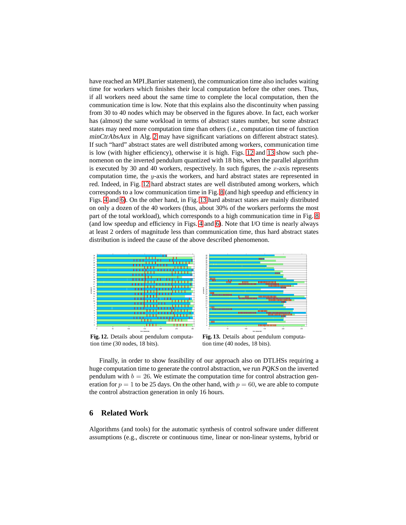have reached an MPI\_Barrier statement), the communication time also includes waiting time for workers which finishes their local computation before the other ones. Thus, if all workers need about the same time to complete the local computation, then the communication time is low. Note that this explains also the discontinuity when passing from 30 to 40 nodes which may be observed in the figures above. In fact, each worker has (almost) the same workload in terms of abstract states number, but some abstract states may need more computation time than others (i.e., computation time of function minCtrAbsAux in Alg. [2](#page-5-1) may have significant variations on different abstract states). If such "hard" abstract states are well distributed among workers, communication time is low (with higher efficiency), otherwise it is high. Figs. [12](#page-14-0) and [13](#page-14-1) show such phenomenon on the inverted pendulum quantized with 18 bits, when the parallel algorithm is executed by 30 and 40 workers, respectively. In such figures, the  $x$ -axis represents computation time, the  $y$ -axis the workers, and hard abstract states are represented in red. Indeed, in Fig. [12](#page-14-0) hard abstract states are well distributed among workers, which corresponds to a low communication time in Fig. [8](#page-12-0) (and high speedup and efficiency in Figs. [4](#page-11-0) and [6\)](#page-11-1). On the other hand, in Fig. [13](#page-14-1) hard abstract states are mainly distributed on only a dozen of the 40 workers (thus, about 30% of the workers performs the most part of the total workload), which corresponds to a high communication time in Fig. [8](#page-12-0) (and low speedup and efficiency in Figs. [4](#page-11-0) and [6\)](#page-11-1). Note that I/O time is nearly always at least 2 orders of magnitude less than communication time, thus hard abstract states distribution is indeed the cause of the above described phenomenon.



<span id="page-14-0"></span>**Fig. 12.** Details about pendulum computation time (30 nodes, 18 bits).

<span id="page-14-1"></span>**Fig. 13.** Details about pendulum computation time (40 nodes, 18 bits).

Finally, in order to show feasibility of our approach also on DTLHSs requiring a huge computation time to generate the control abstraction, we run PQKS on the inverted pendulum with  $b = 26$ . We estimate the computation time for control abstraction generation for  $p = 1$  to be 25 days. On the other hand, with  $p = 60$ , we are able to compute the control abstraction generation in only 16 hours.

# **6 Related Work**

Algorithms (and tools) for the automatic synthesis of control software under different assumptions (e.g., discrete or continuous time, linear or non-linear systems, hybrid or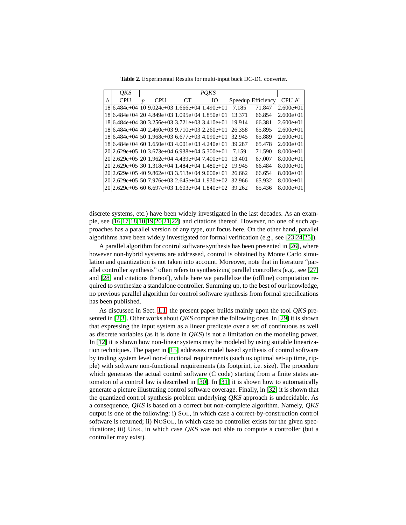<span id="page-15-0"></span>**Table 2.** Experimental Results for multi-input buck DC-DC converter.

|                  | OKS                                                              |                  |            |           | POKS |        |                    |               |
|------------------|------------------------------------------------------------------|------------------|------------|-----------|------|--------|--------------------|---------------|
| $\boldsymbol{b}$ | <b>CPU</b>                                                       | $\boldsymbol{v}$ | <b>CPU</b> | <b>CT</b> | Ю    |        | Speedup Efficiency | CPU K         |
|                  | 18 6.484 e + 04   10 9.024 e + 03 1.666 e + 04 1.490 e + 01      |                  |            |           |      | 7.185  | 71.847             | $2.600e + 01$ |
|                  | 18 6.484 e + 04 20 4.849 e + 03 1.095 e + 04 1.850 e + 01        |                  |            |           |      | 13.371 | 66.854             | $2.600e + 01$ |
|                  | 18 6.484 e + 04 30 3.256 e + 03 3.721 e + 03 3.410 e + 01        |                  |            |           |      | 19.914 | 66.381             | $2.600e + 01$ |
|                  | $18 6.484e+04 402.460e+039.710e+032.260e+01$                     |                  |            |           |      | 26.358 | 65.895             | $2.600e + 01$ |
|                  | 18 6.484 e + 04 50 1.968 e + 03 6.677 e + 03 4.090 e + 01        |                  |            |           |      | 32.945 | 65.889             | $2.600e + 01$ |
|                  | $18 6.484e+04 60 1.650e+03 4.001e+03 4.240e+01$                  |                  |            |           |      | 39.287 | 65.478             | $2.600e + 01$ |
|                  | $20 2.629e+05 103.673e+046.938e+045.300e+01$                     |                  |            |           |      | 7.159  | 71.590             | $8.000e + 01$ |
|                  | $20 2.629e+05 201.962e+044.439e+047.400e+01$                     |                  |            |           |      | 13.401 | 67.007             | $8.000e + 01$ |
|                  | $20 2.629e+05 301.318e+041.484e+041.480e+02$                     |                  |            |           |      | 19.945 | 66.484             | 8.000e+01     |
|                  | 20 2.629 e + 05 40 9.862 e + 03 3.513 e + 04 9.000 e + 01 26.662 |                  |            |           |      |        | 66.654             | $8.000e + 01$ |
|                  | $20 2.629e+05 507.976e+032.645e+041.930e+0232.966$               |                  |            |           |      |        | 65.932             | $8.000e + 01$ |
|                  | 20 2.629e+05 60 6.697e+03 1.603e+04 1.840e+02 39.262             |                  |            |           |      |        | 65.436             | $8.000e + 01$ |

discrete systems, etc.) have been widely investigated in the last decades. As an example, see [\[16,](#page-17-4)[17,](#page-17-5)[18,](#page-17-6)[10,](#page-16-9)[19](#page-17-7)[,20](#page-17-8)[,21](#page-17-9)[,22\]](#page-17-10) and citations thereof. However, no one of such approaches has a parallel version of any type, our focus here. On the other hand, parallel algorithms have been widely investigated for formal verification (e.g., see [\[23](#page-17-11)[,24](#page-17-12)[,25\]](#page-17-13)).

A parallel algorithm for control software synthesis has been presented in [\[26\]](#page-17-14), where however non-hybrid systems are addressed, control is obtained by Monte Carlo simulation and quantization is not taken into account. Moreover, note that in literature "parallel controller synthesis" often refers to synthesizing parallel controllers (e.g., see [\[27\]](#page-17-15) and [\[28\]](#page-17-16) and citations thereof), while here we parallelize the (offline) computation required to synthesize a standalone controller. Summing up, to the best of our knowledge, no previous parallel algorithm for control software synthesis from formal specifications has been published.

As discussed in Sect. [1.1,](#page-1-0) the present paper builds mainly upon the tool QKS presented in [\[2](#page-16-1)[,3\]](#page-16-2). Other works about QKS comprise the following ones. In [\[29\]](#page-17-17) it is shown that expressing the input system as a linear predicate over a set of continuous as well as discrete variables (as it is done in QKS) is not a limitation on the modeling power. In [\[12\]](#page-17-0) it is shown how non-linear systems may be modeled by using suitable linearization techniques. The paper in [\[15\]](#page-17-3) addresses model based synthesis of control software by trading system level non-functional requirements (such us optimal set-up time, ripple) with software non-functional requirements (its footprint, i.e. size). The procedure which generates the actual control software (C code) starting from a finite states automaton of a control law is described in [\[30\]](#page-17-18). In [\[31\]](#page-17-19) it is shown how to automatically generate a picture illustrating control software coverage. Finally, in [\[32\]](#page-17-20) it is shown that the quantized control synthesis problem underlying QKS approach is undecidable. As a consequence, QKS is based on a correct but non-complete algorithm. Namely, QKS output is one of the following: i) SOL, in which case a correct-by-construction control software is returned; ii) NOSOL, in which case no controller exists for the given specifications; iii) UNK, in which case QKS was not able to compute a controller (but a controller may exist).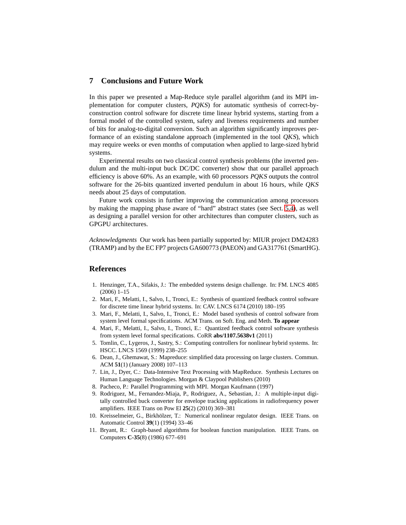# **7 Conclusions and Future Work**

In this paper we presented a Map-Reduce style parallel algorithm (and its MPI implementation for computer clusters, PQKS) for automatic synthesis of correct-byconstruction control software for discrete time linear hybrid systems, starting from a formal model of the controlled system, safety and liveness requirements and number of bits for analog-to-digital conversion. Such an algorithm significantly improves performance of an existing standalone approach (implemented in the tool QKS), which may require weeks or even months of computation when applied to large-sized hybrid systems.

Experimental results on two classical control synthesis problems (the inverted pendulum and the multi-input buck DC/DC converter) show that our parallel approach efficiency is above 60%. As an example, with 60 processors PQKS outputs the control software for the 26-bits quantized inverted pendulum in about 16 hours, while QKS needs about 25 days of computation.

Future work consists in further improving the communication among processors by making the mapping phase aware of "hard" abstract states (see Sect. [5.4\)](#page-13-0), as well as designing a parallel version for other architectures than computer clusters, such as GPGPU architectures.

*Acknowledgments* Our work has been partially supported by: MIUR project DM24283 (TRAMP) and by the EC FP7 projects GA600773 (PAEON) and GA317761 (SmartHG).

# <span id="page-16-0"></span>**References**

- 1. Henzinger, T.A., Sifakis, J.: The embedded systems design challenge. In: FM. LNCS 4085 (2006) 1–15
- <span id="page-16-1"></span>2. Mari, F., Melatti, I., Salvo, I., Tronci, E.: Synthesis of quantized feedback control software for discrete time linear hybrid systems. In: CAV. LNCS 6174 (2010) 180–195
- <span id="page-16-2"></span>3. Mari, F., Melatti, I., Salvo, I., Tronci, E.: Model based synthesis of control software from system level formal specifications. ACM Trans. on Soft. Eng. and Meth. **To appear**
- <span id="page-16-3"></span>4. Mari, F., Melatti, I., Salvo, I., Tronci, E.: Quantized feedback control software synthesis from system level formal specifications. CoRR **abs/1107.5638v1** (2011)
- <span id="page-16-4"></span>5. Tomlin, C., Lygeros, J., Sastry, S.: Computing controllers for nonlinear hybrid systems. In: HSCC. LNCS 1569 (1999) 238–255
- <span id="page-16-5"></span>6. Dean, J., Ghemawat, S.: Mapreduce: simplified data processing on large clusters. Commun. ACM **51**(1) (January 2008) 107–113
- <span id="page-16-6"></span>7. Lin, J., Dyer, C.: Data-Intensive Text Processing with MapReduce. Synthesis Lectures on Human Language Technologies. Morgan & Claypool Publishers (2010)
- <span id="page-16-8"></span><span id="page-16-7"></span>8. Pacheco, P.: Parallel Programming with MPI. Morgan Kaufmann (1997)
- 9. Rodriguez, M., Fernandez-Miaja, P., Rodriguez, A., Sebastian, J.: A multiple-input digitally controlled buck converter for envelope tracking applications in radiofrequency power amplifiers. IEEE Trans on Pow El **25**(2) (2010) 369–381
- <span id="page-16-9"></span>10. Kreisselmeier, G., Birkhölzer, T.: Numerical nonlinear regulator design. IEEE Trans. on Automatic Control **39**(1) (1994) 33–46
- <span id="page-16-10"></span>11. Bryant, R.: Graph-based algorithms for boolean function manipulation. IEEE Trans. on Computers **C-35**(8) (1986) 677–691